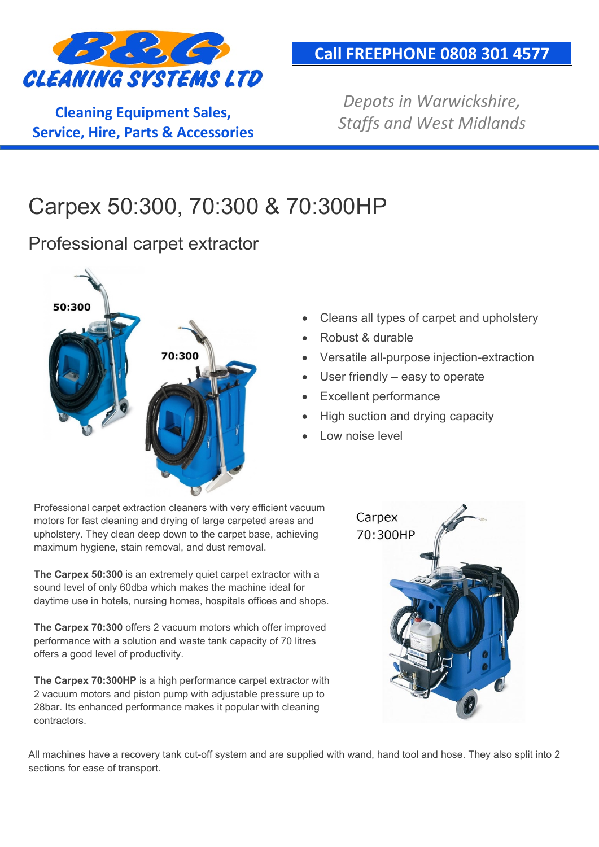

**Cleaning Equipment Sales, Service, Hire, Parts & Accessories**

#### **Call FREEPHONE 0808 301 4577**

*Depots in Warwickshire, Staffs and West Midlands*

# Carpex 50:300, 70:300 & 70:300HP

Professional carpet extractor



- Cleans all types of carpet and upholstery
- Robust & durable
- Versatile all-purpose injection-extraction
- User friendly  $-$  easy to operate
- **Excellent performance**
- High suction and drying capacity
- Low noise level

Professional carpet extraction cleaners with very efficient vacuum motors for fast cleaning and drying of large carpeted areas and upholstery. They clean deep down to the carpet base, achieving maximum hygiene, stain removal, and dust removal.

**The Carpex 50:300** is an extremely quiet carpet extractor with a sound level of only 60dba which makes the machine ideal for daytime use in hotels, nursing homes, hospitals offices and shops.

**The Carpex 70:300** offers 2 vacuum motors which offer improved performance with a solution and waste tank capacity of 70 litres offers a good level of productivity.

**The Carpex 70:300HP** is a high performance carpet extractor with 2 vacuum motors and piston pump with adjustable pressure up to 28bar. Its enhanced performance makes it popular with cleaning contractors.



All machines have a recovery tank cut-off system and are supplied with wand, hand tool and hose. They also split into 2 sections for ease of transport.